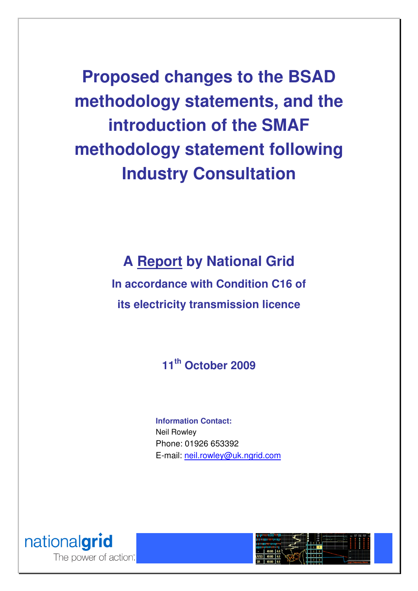**Proposed changes to the BSAD methodology statements, and the introduction of the SMAF methodology statement following Industry Consultation** 

**A Report by National Grid** 

**In accordance with Condition C16 of its electricity transmission licence** 

**11th October 2009** 

**Information Contact:**  Neil Rowley Phone: 01926 653392 E-mail: neil.rowley@uk.ngrid.com



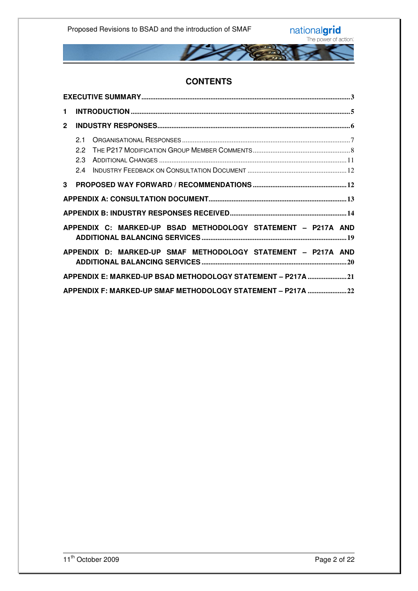

### **CONTENTS**

| 1.             |                                                              |  |  |  |  |  |
|----------------|--------------------------------------------------------------|--|--|--|--|--|
| $\overline{2}$ |                                                              |  |  |  |  |  |
|                | 21<br>22<br>2.3<br>2.4                                       |  |  |  |  |  |
| 3              |                                                              |  |  |  |  |  |
|                |                                                              |  |  |  |  |  |
|                |                                                              |  |  |  |  |  |
|                | APPENDIX C: MARKED-UP BSAD METHODOLOGY STATEMENT - P217A AND |  |  |  |  |  |
|                | APPENDIX D: MARKED-UP SMAF METHODOLOGY STATEMENT - P217A AND |  |  |  |  |  |
|                | APPENDIX E: MARKED-UP BSAD METHODOLOGY STATEMENT - P217A 21  |  |  |  |  |  |
|                | APPENDIX F: MARKED-UP SMAF METHODOLOGY STATEMENT - P217A 22  |  |  |  |  |  |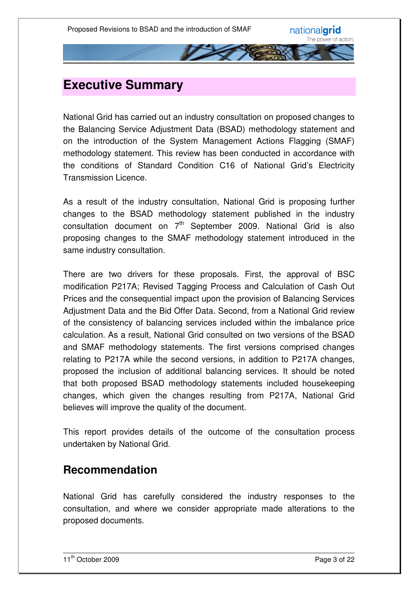## **Executive Summary**

National Grid has carried out an industry consultation on proposed changes to the Balancing Service Adjustment Data (BSAD) methodology statement and on the introduction of the System Management Actions Flagging (SMAF) methodology statement. This review has been conducted in accordance with the conditions of Standard Condition C16 of National Grid's Electricity Transmission Licence.

As a result of the industry consultation, National Grid is proposing further changes to the BSAD methodology statement published in the industry consultation document on 7<sup>th</sup> September 2009. National Grid is also proposing changes to the SMAF methodology statement introduced in the same industry consultation.

There are two drivers for these proposals. First, the approval of BSC modification P217A; Revised Tagging Process and Calculation of Cash Out Prices and the consequential impact upon the provision of Balancing Services Adjustment Data and the Bid Offer Data. Second, from a National Grid review of the consistency of balancing services included within the imbalance price calculation. As a result, National Grid consulted on two versions of the BSAD and SMAF methodology statements. The first versions comprised changes relating to P217A while the second versions, in addition to P217A changes, proposed the inclusion of additional balancing services. It should be noted that both proposed BSAD methodology statements included housekeeping changes, which given the changes resulting from P217A, National Grid believes will improve the quality of the document.

This report provides details of the outcome of the consultation process undertaken by National Grid.

### **Recommendation**

National Grid has carefully considered the industry responses to the consultation, and where we consider appropriate made alterations to the proposed documents.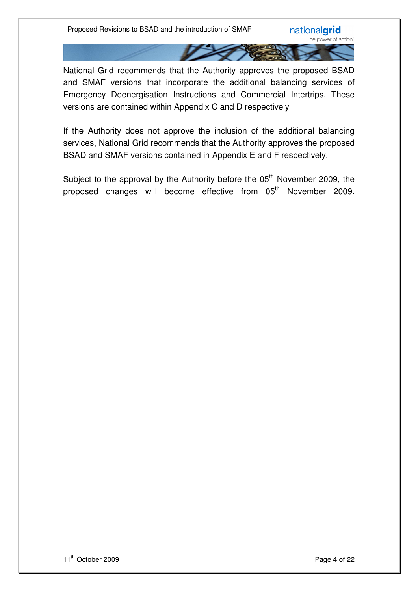National Grid recommends that the Authority approves the proposed BSAD and SMAF versions that incorporate the additional balancing services of Emergency Deenergisation Instructions and Commercial Intertrips. These versions are contained within Appendix C and D respectively

If the Authority does not approve the inclusion of the additional balancing services, National Grid recommends that the Authority approves the proposed BSAD and SMAF versions contained in Appendix E and F respectively.

Subject to the approval by the Authority before the 05<sup>th</sup> November 2009, the proposed changes will become effective from 05<sup>th</sup> November 2009.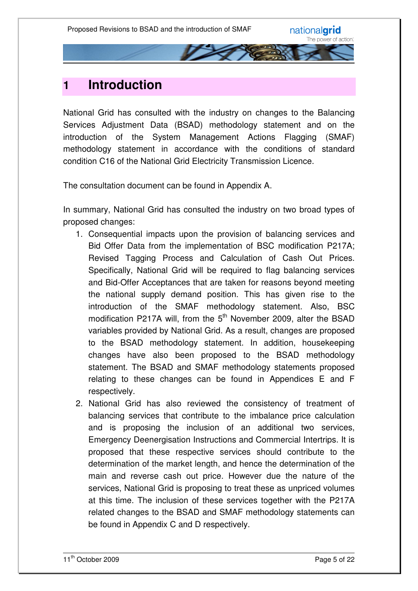

## **1 Introduction**

National Grid has consulted with the industry on changes to the Balancing Services Adjustment Data (BSAD) methodology statement and on the introduction of the System Management Actions Flagging (SMAF) methodology statement in accordance with the conditions of standard condition C16 of the National Grid Electricity Transmission Licence.

The consultation document can be found in Appendix A.

In summary, National Grid has consulted the industry on two broad types of proposed changes:

- 1. Consequential impacts upon the provision of balancing services and Bid Offer Data from the implementation of BSC modification P217A; Revised Tagging Process and Calculation of Cash Out Prices. Specifically, National Grid will be required to flag balancing services and Bid-Offer Acceptances that are taken for reasons beyond meeting the national supply demand position. This has given rise to the introduction of the SMAF methodology statement. Also, BSC modification P217A will, from the  $5<sup>th</sup>$  November 2009, alter the BSAD variables provided by National Grid. As a result, changes are proposed to the BSAD methodology statement. In addition, housekeeping changes have also been proposed to the BSAD methodology statement. The BSAD and SMAF methodology statements proposed relating to these changes can be found in Appendices E and F respectively.
- 2. National Grid has also reviewed the consistency of treatment of balancing services that contribute to the imbalance price calculation and is proposing the inclusion of an additional two services, Emergency Deenergisation Instructions and Commercial Intertrips. It is proposed that these respective services should contribute to the determination of the market length, and hence the determination of the main and reverse cash out price. However due the nature of the services, National Grid is proposing to treat these as unpriced volumes at this time. The inclusion of these services together with the P217A related changes to the BSAD and SMAF methodology statements can be found in Appendix C and D respectively.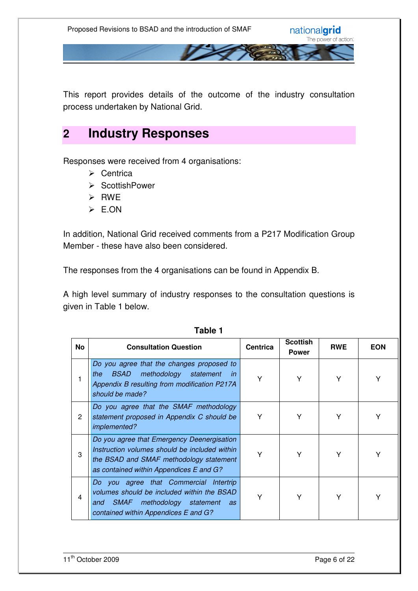This report provides details of the outcome of the industry consultation process undertaken by National Grid.

## **2 Industry Responses**

Responses were received from 4 organisations:

- $\triangleright$  Centrica
- ▶ ScottishPower
- $\triangleright$  RWF
- E.ON

In addition, National Grid received comments from a P217 Modification Group Member - these have also been considered.

The responses from the 4 organisations can be found in Appendix B.

A high level summary of industry responses to the consultation questions is given in Table 1 below.

| No           | <b>Consultation Question</b>                                                                                                                                                      | <b>Centrica</b> | <b>Scottish</b><br><b>Power</b> | <b>RWE</b> | <b>EON</b> |
|--------------|-----------------------------------------------------------------------------------------------------------------------------------------------------------------------------------|-----------------|---------------------------------|------------|------------|
|              | Do you agree that the changes proposed to<br><b>BSAD</b><br>methodology statement<br>the<br>in<br>Appendix B resulting from modification P217A<br>should be made?                 | Υ               | Υ                               | Y          | Υ          |
| $\mathbf{2}$ | Do you agree that the SMAF methodology<br>statement proposed in Appendix C should be<br>implemented?                                                                              | Y               | Y                               | Υ          | Y          |
| 3            | Do you agree that Emergency Deenergisation<br>Instruction volumes should be included within<br>the BSAD and SMAF methodology statement<br>as contained within Appendices E and G? | Υ               | Υ                               | Y          |            |
| 4            | Do you agree that Commercial Intertrip<br>volumes should be included within the BSAD<br>SMAF methodology statement<br>and<br>as<br>contained within Appendices E and G?           | Υ               | Υ                               | Υ          | Υ          |

**Table 1**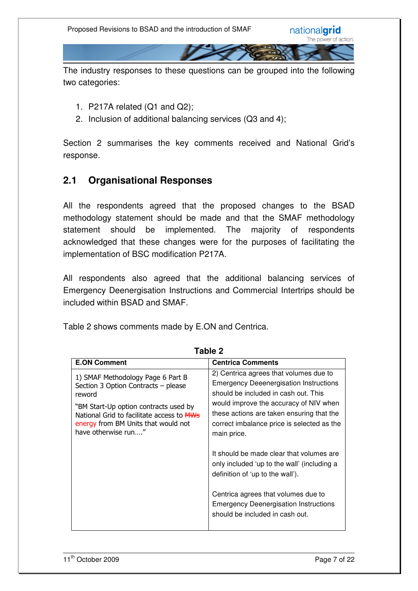The industry responses to these questions can be grouped into the following two categories:

- 1. P217A related (Q1 and Q2);
- 2. Inclusion of additional balancing services (Q3 and 4);

Section 2 summarises the key comments received and National Grid's response.

### **2.1 Organisational Responses**

All the respondents agreed that the proposed changes to the BSAD methodology statement should be made and that the SMAF methodology statement should be implemented. The majority of respondents acknowledged that these changes were for the purposes of facilitating the implementation of BSC modification P217A.

All respondents also agreed that the additional balancing services of Emergency Deenergisation Instructions and Commercial Intertrips should be included within BSAD and SMAF.

Table 2 shows comments made by E.ON and Centrica.

| <b>E.ON Comment</b>                                                                                                                               | <b>Centrica Comments</b>                                                                                                                                                                                                                                                            |
|---------------------------------------------------------------------------------------------------------------------------------------------------|-------------------------------------------------------------------------------------------------------------------------------------------------------------------------------------------------------------------------------------------------------------------------------------|
| 1) SMAF Methodology Page 6 Part B<br>Section 3 Option Contracts - please<br>reword                                                                | 2) Centrica agrees that volumes due to<br><b>Emergency Deeenergisation Instructions</b><br>should be included in cash out. This<br>would improve the accuracy of NIV when<br>these actions are taken ensuring that the<br>correct imbalance price is selected as the<br>main price. |
| "BM Start-Up option contracts used by<br>National Grid to facilitate access to ARNS<br>energy from BM Units that would not<br>have otherwise run" |                                                                                                                                                                                                                                                                                     |
|                                                                                                                                                   | It should be made clear that volumes are<br>only included 'up to the wall' (including a<br>definition of 'up to the wall').                                                                                                                                                         |
|                                                                                                                                                   | Centrica agrees that volumes due to<br><b>Emergency Deenergisation Instructions</b><br>should be included in cash out.                                                                                                                                                              |

**Table 2**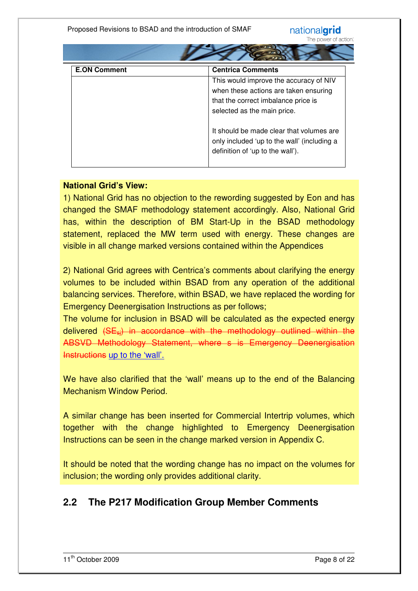| <b>E.ON Comment</b> | <b>Centrica Comments</b>                                                                                                                              |  |  |
|---------------------|-------------------------------------------------------------------------------------------------------------------------------------------------------|--|--|
|                     | This would improve the accuracy of NIV<br>when these actions are taken ensuring<br>that the correct imbalance price is<br>selected as the main price. |  |  |
|                     | It should be made clear that volumes are<br>only included 'up to the wall' (including a<br>definition of 'up to the wall').                           |  |  |

 $\sim$ 

#### **National Grid's View:**

1) National Grid has no objection to the rewording suggested by Eon and has changed the SMAF methodology statement accordingly. Also, National Grid has, within the description of BM Start-Up in the BSAD methodology statement, replaced the MW term used with energy. These changes are visible in all change marked versions contained within the Appendices

2) National Grid agrees with Centrica's comments about clarifying the energy volumes to be included within BSAD from any operation of the additional balancing services. Therefore, within BSAD, we have replaced the wording for Emergency Deenergisation Instructions as per follows;

The volume for inclusion in BSAD will be calculated as the expected energy delivered (SEsj) in accordance with the methodology outlined within the ABSVD Methodology Statement, where s is Emergency Deenergisation Instructions up to the 'wall'.

We have also clarified that the 'wall' means up to the end of the Balancing Mechanism Window Period.

A similar change has been inserted for Commercial Intertrip volumes, which together with the change highlighted to Emergency Deenergisation Instructions can be seen in the change marked version in Appendix C.

It should be noted that the wording change has no impact on the volumes for inclusion; the wording only provides additional clarity.

### **2.2 The P217 Modification Group Member Comments**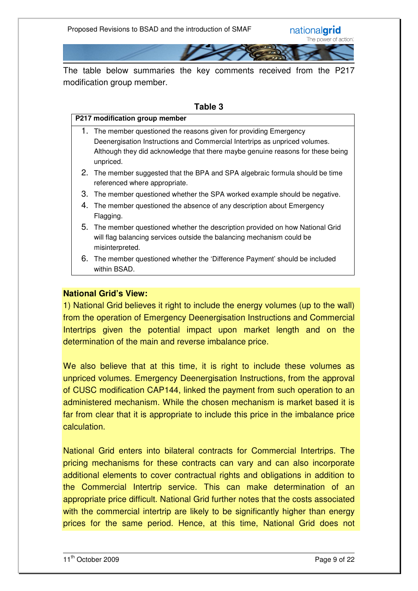The table below summaries the key comments received from the P217 modification group member.

#### **Table 3**

#### **P217 modification group member**

- 1. The member questioned the reasons given for providing Emergency Deenergisation Instructions and Commercial Intertrips as unpriced volumes. Although they did acknowledge that there maybe genuine reasons for these being unpriced.
- 2. The member suggested that the BPA and SPA algebraic formula should be time referenced where appropriate.
- 3. The member questioned whether the SPA worked example should be negative.
- 4. The member questioned the absence of any description about Emergency Flagging.
- 5. The member questioned whether the description provided on how National Grid will flag balancing services outside the balancing mechanism could be misinterpreted.
- 6. The member questioned whether the 'Difference Payment' should be included within BSAD.

#### **National Grid's View:**

1) National Grid believes it right to include the energy volumes (up to the wall) from the operation of Emergency Deenergisation Instructions and Commercial Intertrips given the potential impact upon market length and on the determination of the main and reverse imbalance price.

We also believe that at this time, it is right to include these volumes as unpriced volumes. Emergency Deenergisation Instructions, from the approval of CUSC modification CAP144, linked the payment from such operation to an administered mechanism. While the chosen mechanism is market based it is far from clear that it is appropriate to include this price in the imbalance price calculation.

National Grid enters into bilateral contracts for Commercial Intertrips. The pricing mechanisms for these contracts can vary and can also incorporate additional elements to cover contractual rights and obligations in addition to the Commercial Intertrip service. This can make determination of an appropriate price difficult. National Grid further notes that the costs associated with the commercial intertrip are likely to be significantly higher than energy prices for the same period. Hence, at this time, National Grid does not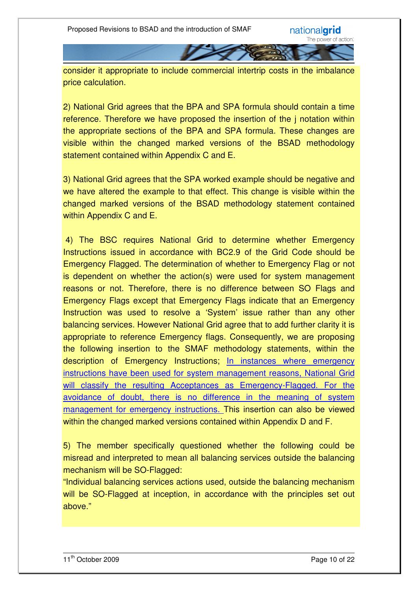consider it appropriate to include commercial intertrip costs in the imbalance price calculation.

2) National Grid agrees that the BPA and SPA formula should contain a time reference. Therefore we have proposed the insertion of the j notation within the appropriate sections of the BPA and SPA formula. These changes are visible within the changed marked versions of the BSAD methodology statement contained within Appendix C and E.

3) National Grid agrees that the SPA worked example should be negative and we have altered the example to that effect. This change is visible within the changed marked versions of the BSAD methodology statement contained within Appendix C and E.

 4) The BSC requires National Grid to determine whether Emergency Instructions issued in accordance with BC2.9 of the Grid Code should be Emergency Flagged. The determination of whether to Emergency Flag or not is dependent on whether the action(s) were used for system management reasons or not. Therefore, there is no difference between SO Flags and Emergency Flags except that Emergency Flags indicate that an Emergency Instruction was used to resolve a 'System' issue rather than any other balancing services. However National Grid agree that to add further clarity it is appropriate to reference Emergency flags. Consequently, we are proposing the following insertion to the SMAF methodology statements, within the description of Emergency Instructions; In instances where emergency instructions have been used for system management reasons, National Grid will classify the resulting Acceptances as Emergency-Flagged. For the avoidance of doubt, there is no difference in the meaning of system management for emergency instructions. This insertion can also be viewed within the changed marked versions contained within Appendix D and F.

5) The member specifically questioned whether the following could be misread and interpreted to mean all balancing services outside the balancing mechanism will be SO-Flagged:

"Individual balancing services actions used, outside the balancing mechanism will be SO-Flagged at inception, in accordance with the principles set out above."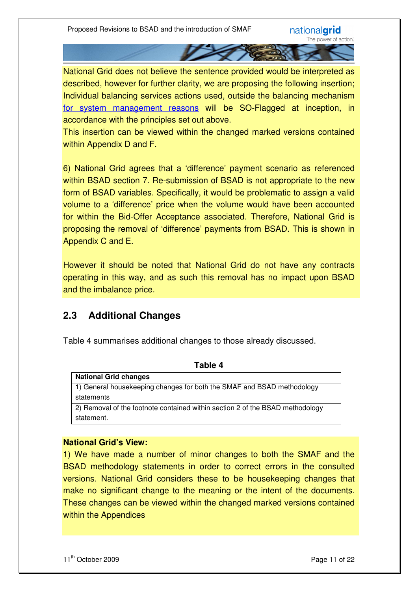National Grid does not believe the sentence provided would be interpreted as described, however for further clarity, we are proposing the following insertion; Individual balancing services actions used, outside the balancing mechanism for system management reasons will be SO-Flagged at inception, in accordance with the principles set out above.

This insertion can be viewed within the changed marked versions contained within Appendix D and F.

6) National Grid agrees that a 'difference' payment scenario as referenced within BSAD section 7. Re-submission of BSAD is not appropriate to the new form of BSAD variables. Specifically, it would be problematic to assign a valid volume to a 'difference' price when the volume would have been accounted for within the Bid-Offer Acceptance associated. Therefore, National Grid is proposing the removal of 'difference' payments from BSAD. This is shown in Appendix C and E.

However it should be noted that National Grid do not have any contracts operating in this way, and as such this removal has no impact upon BSAD and the imbalance price.

### **2.3 Additional Changes**

Table 4 summarises additional changes to those already discussed.

| <b>National Grid changes</b>                                                  |
|-------------------------------------------------------------------------------|
| 1) General housekeeping changes for both the SMAF and BSAD methodology        |
| statements                                                                    |
| 2) Removal of the footnote contained within section 2 of the BSAD methodology |
| statement.                                                                    |

**Table 4** 

#### **National Grid's View:**

1) We have made a number of minor changes to both the SMAF and the BSAD methodology statements in order to correct errors in the consulted versions. National Grid considers these to be housekeeping changes that make no significant change to the meaning or the intent of the documents. These changes can be viewed within the changed marked versions contained within the Appendices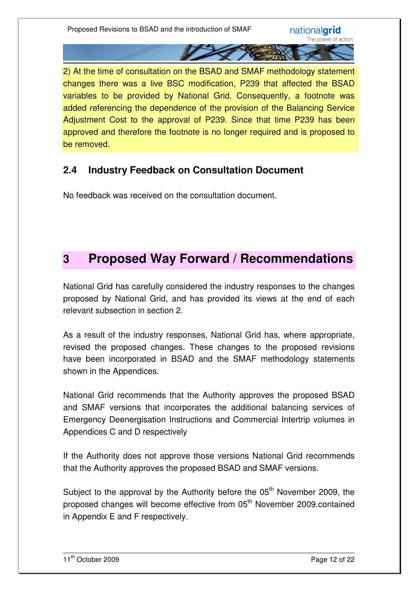2) At the time of consultation on the BSAD and SMAF methodology statement changes there was a live BSC modification, P239 that affected the BSAD variables to be provided by National Grid. Consequently, a footnote was added referencing the dependence of the provision of the Balancing Service Adjustment Cost to the approval of P239. Since that time P239 has been approved and therefore the footnote is no longer required and is proposed to be removed.

### **2.4 Industry Feedback on Consultation Document**

No feedback was received on the consultation document.

## **3 Proposed Way Forward / Recommendations**

National Grid has carefully considered the industry responses to the changes proposed by National Grid, and has provided its views at the end of each relevant subsection in section 2.

As a result of the industry responses, National Grid has, where appropriate, revised the proposed changes. These changes to the proposed revisions have been incorporated in BSAD and the SMAF methodology statements shown in the Appendices.

National Grid recommends that the Authority approves the proposed BSAD and SMAF versions that incorporates the additional balancing services of Emergency Deenergisation Instructions and Commercial Intertrip volumes in Appendices C and D respectively

If the Authority does not approve those versions National Grid recommends that the Authority approves the proposed BSAD and SMAF versions.

Subject to the approval by the Authority before the  $05<sup>th</sup>$  November 2009, the proposed changes will become effective from 05<sup>th</sup> November 2009.contained in Appendix E and F respectively.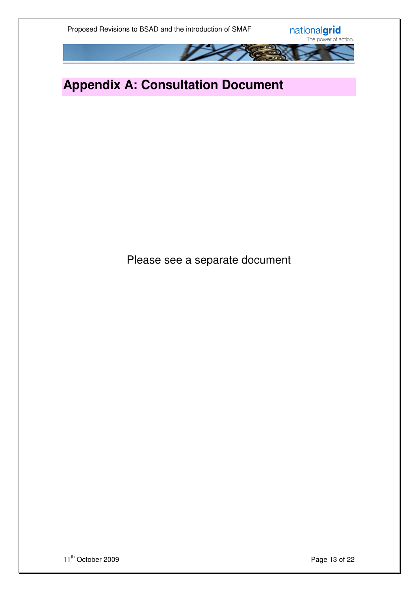

# **Appendix A: Consultation Document**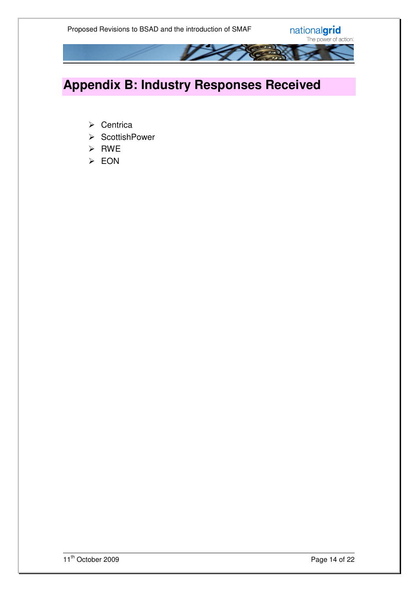

# **Appendix B: Industry Responses Received**

- $\triangleright$  Centrica
- ▶ ScottishPower
- $\triangleright$  RWE
- EON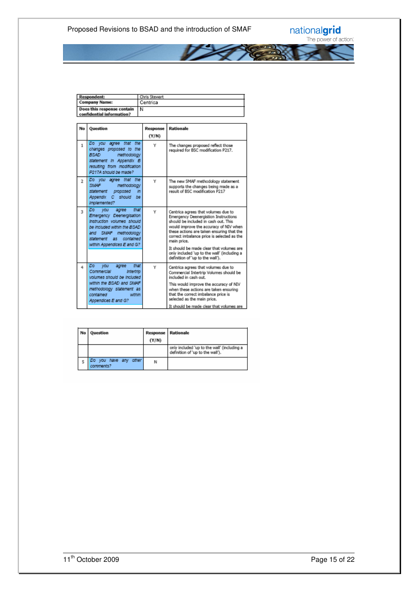

| <b>Respondent:</b>           | Chris Stewart |
|------------------------------|---------------|
| <b>Company Name:</b>         | Centrica      |
| Does this response contain N |               |
| confidential information?    |               |

| No             | Ouestion                                                                                                                                                                                                        | Response<br>(Y/N) | <b>Rationale</b>                                                                                                                                                                                                                                                                                                                                                                                              |
|----------------|-----------------------------------------------------------------------------------------------------------------------------------------------------------------------------------------------------------------|-------------------|---------------------------------------------------------------------------------------------------------------------------------------------------------------------------------------------------------------------------------------------------------------------------------------------------------------------------------------------------------------------------------------------------------------|
| $\mathbf{1}$   | Do you agree that the<br>changes proposed to the<br>BSAD.<br>methodology<br>statement In Appendix B<br>resulting from modification<br>P217A should be made?                                                     | Y                 | The changes proposed reflect those<br>required for BSC modification P217.                                                                                                                                                                                                                                                                                                                                     |
| $\overline{2}$ | Do you agree that the<br>SMAF<br>methodology<br>statement<br>proposed<br>in.<br>Appendix C should<br>be<br>Implemented?                                                                                         | Y                 | The new SMAF methodology statement<br>supports the changes being made as a<br>result of BSC modification P217                                                                                                                                                                                                                                                                                                 |
| $\overline{3}$ | agree that<br>Do.<br><b>VOU</b><br>Emergency Deenergisation<br>Instruction volumes should<br>be included within the BSAD.<br>and SMAF<br>methodology<br>statement as<br>contained<br>within Appendices E and G? | Y                 | Centrica agrees that volumes due to<br><b>Emergency Deenergistion Instructions</b><br>should be included in cash out. This<br>would improve the accuracy of NIV when<br>these actions are taken ensuring that the<br>correct imbalance price is selected as the<br>main price.<br>It should be made clear that volumes are<br>only included 'up to the wall' (including a<br>definition of 'up to the wall'). |
| 4              | Do.<br>that<br>vou<br>agree<br>Commercial<br>Intertrip<br>volumes should be included.<br>within the BSAD and SMAF<br>methodology statement as<br>contained<br>within<br>Appendices E and G?                     | Y                 | Centrica agrees that volumes due to<br>Commercial Intertrip Volumes should be<br>included in cash out.<br>This would improve the accuracy of NIV<br>when these actions are taken ensuring<br>that the correct imbalance price is<br>selected as the main price.<br>It should be made clear that volumes are                                                                                                   |

| No Question                        | <b>Response Rationale</b><br>(Y/N) |                                                                                 |
|------------------------------------|------------------------------------|---------------------------------------------------------------------------------|
|                                    |                                    | only included 'up to the wall' (including a<br>definition of 'up to the wall'). |
| Do you have any other<br>comments? | Ν                                  |                                                                                 |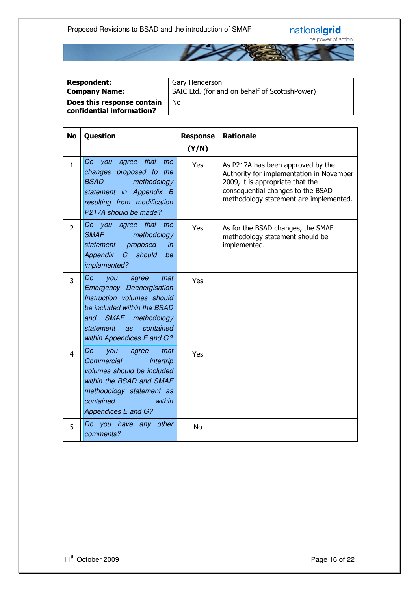

| <b>Respondent:</b>                                      | Gary Henderson                                 |
|---------------------------------------------------------|------------------------------------------------|
| <b>Company Name:</b>                                    | SAIC Ltd. (for and on behalf of ScottishPower) |
| Does this response contain<br>confidential information? | No                                             |

| <b>No</b>      | Question                                                                                                                                                                                                      | <b>Response</b><br>(Y/N) | <b>Rationale</b>                                                                                                                                                                                 |
|----------------|---------------------------------------------------------------------------------------------------------------------------------------------------------------------------------------------------------------|--------------------------|--------------------------------------------------------------------------------------------------------------------------------------------------------------------------------------------------|
| $\mathbf{1}$   | Do you agree that<br>the<br>changes proposed to the<br><b>BSAD</b><br>methodology<br>statement in Appendix B<br>resulting from modification<br>P217A should be made?                                          | Yes                      | As P217A has been approved by the<br>Authority for implementation in November<br>2009, it is appropriate that the<br>consequential changes to the BSAD<br>methodology statement are implemented. |
| $\overline{2}$ | Do you agree that the<br><b>SMAF</b><br>methodology<br>proposed<br>statement<br>in<br>Appendix<br>should<br>$\mathcal C$<br>be<br>implemented?                                                                | Yes                      | As for the BSAD changes, the SMAF<br>methodology statement should be<br>implemented.                                                                                                             |
| 3              | that<br>Do<br>you<br>agree<br><b>Emergency Deenergisation</b><br>Instruction volumes should<br>be included within the BSAD<br>and SMAF methodology<br>contained<br>statement as<br>within Appendices E and G? | Yes                      |                                                                                                                                                                                                  |
| 4              | that<br>Do<br>you<br>agree<br>Commercial<br>Intertrip<br>volumes should be included<br>within the BSAD and SMAF<br>methodology statement as<br>within<br>contained<br>Appendices E and G?                     | Yes                      |                                                                                                                                                                                                  |
| 5              | Do you have any other<br>comments?                                                                                                                                                                            | <b>No</b>                |                                                                                                                                                                                                  |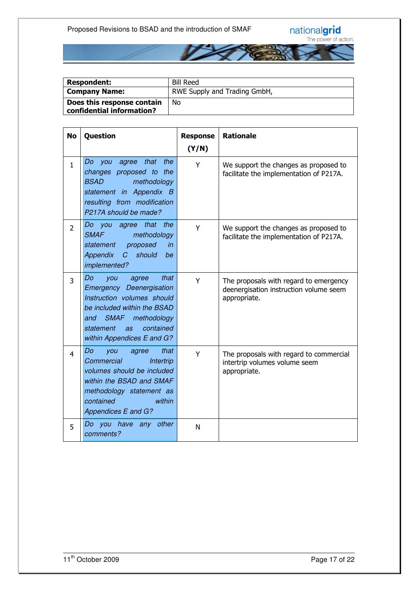

| <b>Respondent:</b>                                      | <b>Bill Reed</b>             |
|---------------------------------------------------------|------------------------------|
| <b>Company Name:</b>                                    | RWE Supply and Trading GmbH, |
| Does this response contain<br>confidential information? | No                           |

| <b>No</b>      | Question                                                                                                                                                                                                            | <b>Response</b><br>(Y/N) | <b>Rationale</b>                                                                                 |
|----------------|---------------------------------------------------------------------------------------------------------------------------------------------------------------------------------------------------------------------|--------------------------|--------------------------------------------------------------------------------------------------|
| $\mathbf{1}$   | Do you agree that<br>the<br>changes proposed to the<br><b>BSAD</b><br>methodology<br>statement in Appendix B<br>resulting from modification<br>P217A should be made?                                                | Y                        | We support the changes as proposed to<br>facilitate the implementation of P217A.                 |
| $\overline{2}$ | the<br>Do you agree<br>that<br><b>SMAF</b><br>methodology<br>proposed<br>in<br>statement<br><b>Appendix</b><br>should<br>C<br>be<br>implemented?                                                                    | Y                        | We support the changes as proposed to<br>facilitate the implementation of P217A.                 |
| 3              | Do<br>that<br>you<br>agree<br><b>Emergency Deenergisation</b><br>Instruction volumes should<br>be included within the BSAD<br>SMAF methodology<br>and<br>contained<br>statement<br>as<br>within Appendices E and G? | Y                        | The proposals with regard to emergency<br>deenergisation instruction volume seem<br>appropriate. |
| 4              | Do<br>that<br>you<br>agree<br>Commercial<br>Intertrip<br>volumes should be included<br>within the BSAD and SMAF<br>methodology statement as<br>within<br>contained<br>Appendices E and G?                           | Y                        | The proposals with regard to commercial<br>intertrip volumes volume seem<br>appropriate.         |
| 5              | Do you have any other<br>comments?                                                                                                                                                                                  | N                        |                                                                                                  |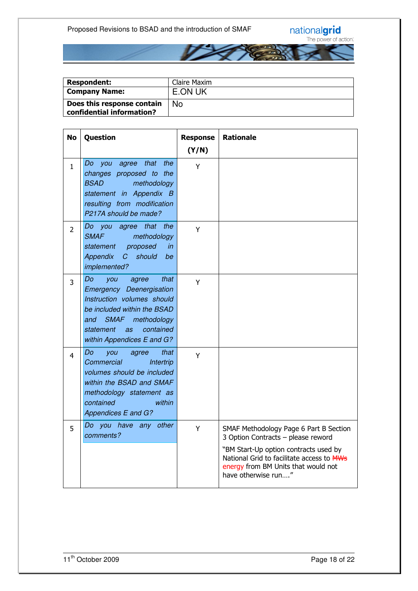

| <b>Respondent:</b>                                      | Claire Maxim |
|---------------------------------------------------------|--------------|
| <b>Company Name:</b>                                    | E.ON UK      |
| Does this response contain<br>confidential information? | <b>No</b>    |

| <b>No</b>      | Question                                                                                                                                                                                                         | <b>Response</b> | <b>Rationale</b>                                                                                                                                                                                                                 |
|----------------|------------------------------------------------------------------------------------------------------------------------------------------------------------------------------------------------------------------|-----------------|----------------------------------------------------------------------------------------------------------------------------------------------------------------------------------------------------------------------------------|
|                |                                                                                                                                                                                                                  | (Y/N)           |                                                                                                                                                                                                                                  |
| $\mathbf{1}$   | Do you agree that<br>the<br>changes proposed to the<br><b>BSAD</b><br>methodology<br>statement in Appendix B<br>resulting from modification<br>P217A should be made?                                             | Y               |                                                                                                                                                                                                                                  |
| $\overline{2}$ | that<br>the<br>Do you agree<br><b>SMAF</b><br>methodology<br>proposed<br>statement<br>in<br>C<br>should<br><b>Appendix</b><br>be<br>implemented?                                                                 | Y               |                                                                                                                                                                                                                                  |
| 3              | that<br>Do<br>you<br>agree<br><b>Emergency Deenergisation</b><br>Instruction volumes should<br>be included within the BSAD<br>and SMAF methodology<br>contained<br>statement<br>as<br>within Appendices E and G? | Y               |                                                                                                                                                                                                                                  |
| $\overline{4}$ | that<br>Do<br>you<br>agree<br>Commercial<br>Intertrip<br>volumes should be included<br>within the BSAD and SMAF<br>methodology statement as<br>contained<br>within<br>Appendices E and G?                        | Y               |                                                                                                                                                                                                                                  |
| 5              | Do you have any other<br>comments?                                                                                                                                                                               | Y               | SMAF Methodology Page 6 Part B Section<br>3 Option Contracts - please reword<br>"BM Start-Up option contracts used by<br>National Grid to facilitate access to MWs<br>energy from BM Units that would not<br>have otherwise run" |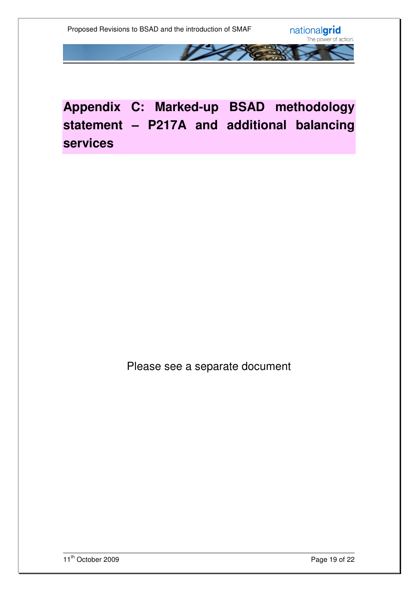

# **Appendix C: Marked-up BSAD methodology statement – P217A and additional balancing services**

Please see a separate document

11<sup>th</sup> October 2009 Page 19 of 22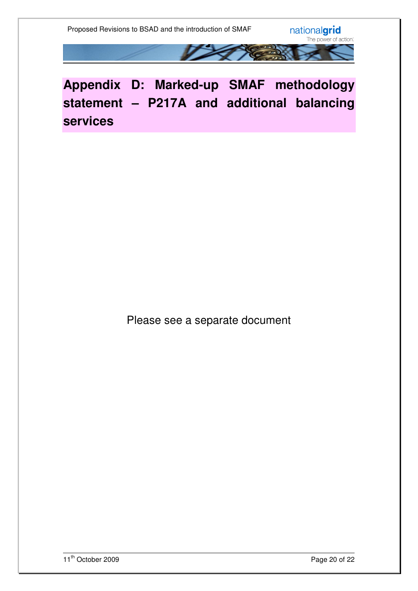

**Appendix D: Marked-up SMAF methodology statement – P217A and additional balancing services**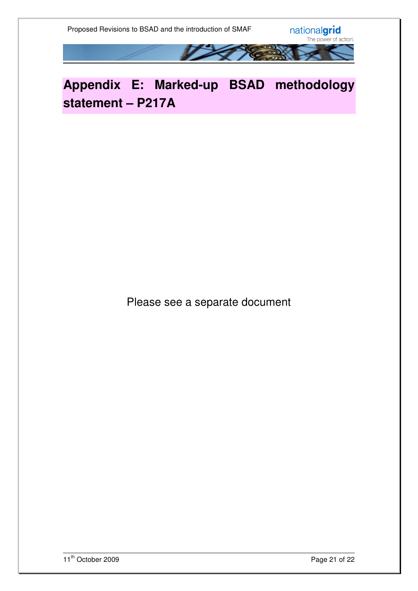

# **Appendix E: Marked-up BSAD methodology statement – P217A**